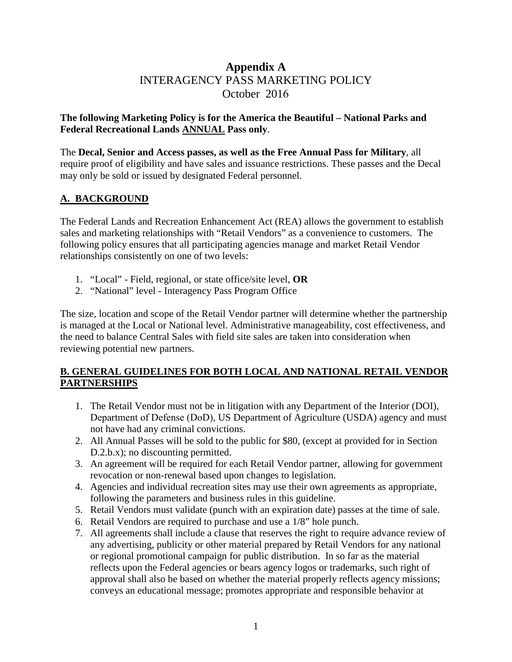# **Appendix A**  INTERAGENCY PASS MARKETING POLICY October 2016

## **The following Marketing Policy is for the America the Beautiful – National Parks and Federal Recreational Lands ANNUAL Pass only**.

The **Decal, Senior and Access passes, as well as the Free Annual Pass for Military**, all require proof of eligibility and have sales and issuance restrictions. These passes and the Decal may only be sold or issued by designated Federal personnel.

## **A. BACKGROUND**

The Federal Lands and Recreation Enhancement Act (REA) allows the government to establish sales and marketing relationships with "Retail Vendors" as a convenience to customers. The following policy ensures that all participating agencies manage and market Retail Vendor relationships consistently on one of two levels:

- 1. "Local" Field, regional, or state office/site level, **OR**
- 2. "National" level Interagency Pass Program Office

The size, location and scope of the Retail Vendor partner will determine whether the partnership is managed at the Local or National level. Administrative manageability, cost effectiveness, and the need to balance Central Sales with field site sales are taken into consideration when reviewing potential new partners.

## **B. GENERAL GUIDELINES FOR BOTH LOCAL AND NATIONAL RETAIL VENDOR PARTNERSHIPS**

- 1. The Retail Vendor must not be in litigation with any Department of the Interior (DOI), Department of Defense (DoD), US Department of Agriculture (USDA) agency and must not have had any criminal convictions.
- 2. All Annual Passes will be sold to the public for \$80, (except at provided for in Section D.2.b.x); no discounting permitted.
- 3. An agreement will be required for each Retail Vendor partner, allowing for government revocation or non-renewal based upon changes to legislation.
- 4. Agencies and individual recreation sites may use their own agreements as appropriate, following the parameters and business rules in this guideline.
- 5. Retail Vendors must validate (punch with an expiration date) passes at the time of sale.
- 6. Retail Vendors are required to purchase and use a 1/8" hole punch.
- 7. All agreements shall include a clause that reserves the right to require advance review of any advertising, publicity or other material prepared by Retail Vendors for any national or regional promotional campaign for public distribution. In so far as the material reflects upon the Federal agencies or bears agency logos or trademarks, such right of approval shall also be based on whether the material properly reflects agency missions; conveys an educational message; promotes appropriate and responsible behavior at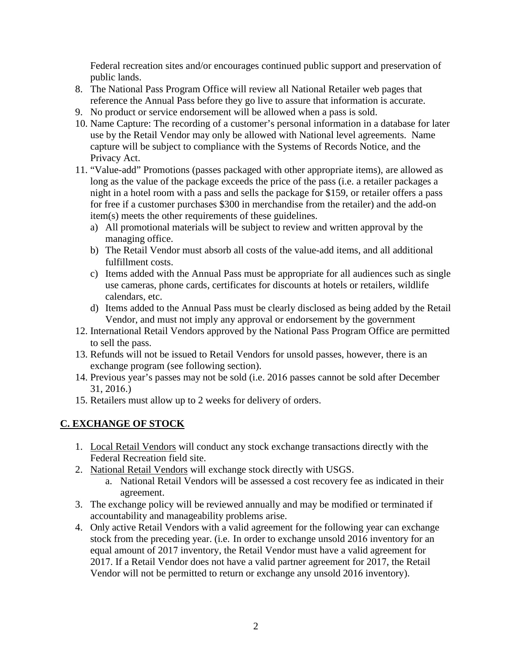Federal recreation sites and/or encourages continued public support and preservation of public lands.

- 8. The National Pass Program Office will review all National Retailer web pages that reference the Annual Pass before they go live to assure that information is accurate.
- 9. No product or service endorsement will be allowed when a pass is sold.
- 10. Name Capture: The recording of a customer's personal information in a database for later use by the Retail Vendor may only be allowed with National level agreements. Name capture will be subject to compliance with the Systems of Records Notice, and the Privacy Act.
- 11. "Value-add" Promotions (passes packaged with other appropriate items), are allowed as long as the value of the package exceeds the price of the pass (i.e. a retailer packages a night in a hotel room with a pass and sells the package for \$159, or retailer offers a pass for free if a customer purchases \$300 in merchandise from the retailer) and the add-on item(s) meets the other requirements of these guidelines.
	- a) All promotional materials will be subject to review and written approval by the managing office.
	- b) The Retail Vendor must absorb all costs of the value-add items, and all additional fulfillment costs.
	- c) Items added with the Annual Pass must be appropriate for all audiences such as single use cameras, phone cards, certificates for discounts at hotels or retailers, wildlife calendars, etc.
	- d) Items added to the Annual Pass must be clearly disclosed as being added by the Retail Vendor, and must not imply any approval or endorsement by the government
- 12. International Retail Vendors approved by the National Pass Program Office are permitted to sell the pass.
- 13. Refunds will not be issued to Retail Vendors for unsold passes, however, there is an exchange program (see following section).
- 14. Previous year's passes may not be sold (i.e. 2016 passes cannot be sold after December 31, 2016.)
- 15. Retailers must allow up to 2 weeks for delivery of orders.

# **C. EXCHANGE OF STOCK**

- 1. Local Retail Vendors will conduct any stock exchange transactions directly with the Federal Recreation field site.
- 2. National Retail Vendors will exchange stock directly with USGS.
	- a. National Retail Vendors will be assessed a cost recovery fee as indicated in their agreement.
- 3. The exchange policy will be reviewed annually and may be modified or terminated if accountability and manageability problems arise.
- 4. Only active Retail Vendors with a valid agreement for the following year can exchange stock from the preceding year. (i.e. In order to exchange unsold 2016 inventory for an equal amount of 2017 inventory, the Retail Vendor must have a valid agreement for 2017. If a Retail Vendor does not have a valid partner agreement for 2017, the Retail Vendor will not be permitted to return or exchange any unsold 2016 inventory).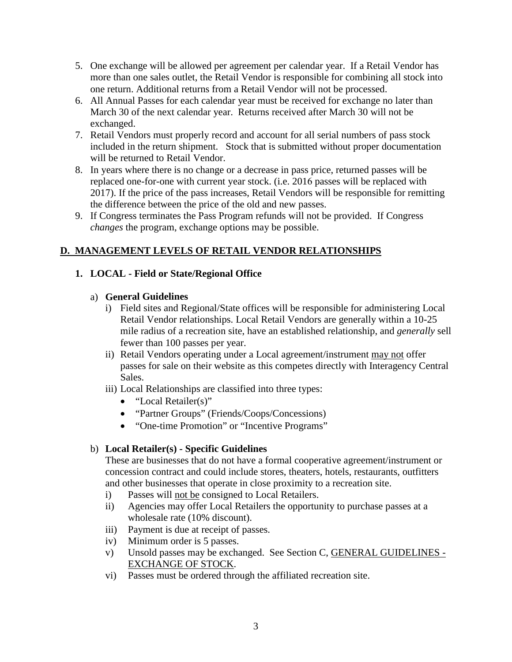- 5. One exchange will be allowed per agreement per calendar year. If a Retail Vendor has more than one sales outlet, the Retail Vendor is responsible for combining all stock into one return. Additional returns from a Retail Vendor will not be processed.
- 6. All Annual Passes for each calendar year must be received for exchange no later than March 30 of the next calendar year. Returns received after March 30 will not be exchanged.
- 7. Retail Vendors must properly record and account for all serial numbers of pass stock included in the return shipment. Stock that is submitted without proper documentation will be returned to Retail Vendor.
- 8. In years where there is no change or a decrease in pass price, returned passes will be replaced one-for-one with current year stock. (i.e. 2016 passes will be replaced with 2017). If the price of the pass increases, Retail Vendors will be responsible for remitting the difference between the price of the old and new passes.
- 9. If Congress terminates the Pass Program refunds will not be provided. If Congress *changes* the program, exchange options may be possible.

# **D. MANAGEMENT LEVELS OF RETAIL VENDOR RELATIONSHIPS**

#### **1. LOCAL - Field or State/Regional Office**

#### a) **General Guidelines**

- i) Field sites and Regional/State offices will be responsible for administering Local Retail Vendor relationships. Local Retail Vendors are generally within a 10-25 mile radius of a recreation site, have an established relationship, and *generally* sell fewer than 100 passes per year.
- ii) Retail Vendors operating under a Local agreement/instrument may not offer passes for sale on their website as this competes directly with Interagency Central Sales.
- iii) Local Relationships are classified into three types:
	- "Local Retailer(s)"
	- "Partner Groups" (Friends/Coops/Concessions)
	- "One-time Promotion" or "Incentive Programs"

## b) **Local Retailer(s) - Specific Guidelines**

These are businesses that do not have a formal cooperative agreement/instrument or concession contract and could include stores, theaters, hotels, restaurants, outfitters and other businesses that operate in close proximity to a recreation site.

- i) Passes will not be consigned to Local Retailers.
- ii) Agencies may offer Local Retailers the opportunity to purchase passes at a wholesale rate (10% discount).
- iii) Payment is due at receipt of passes.
- iv) Minimum order is 5 passes.
- v) Unsold passes may be exchanged. See Section C, GENERAL GUIDELINES EXCHANGE OF STOCK.
- vi) Passes must be ordered through the affiliated recreation site.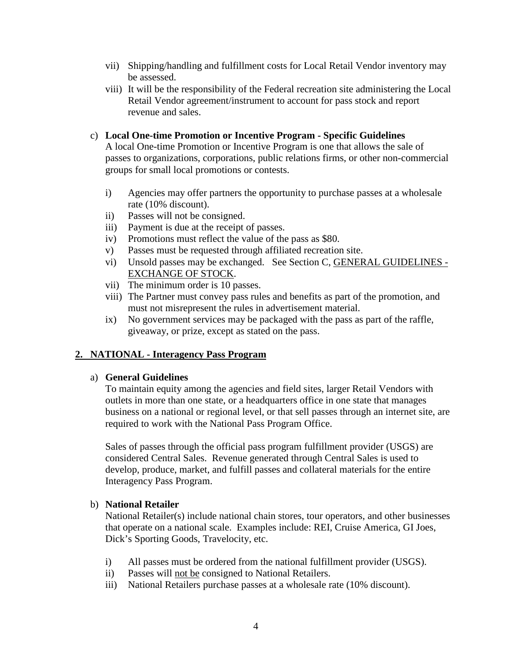- vii) Shipping/handling and fulfillment costs for Local Retail Vendor inventory may be assessed.
- viii) It will be the responsibility of the Federal recreation site administering the Local Retail Vendor agreement/instrument to account for pass stock and report revenue and sales.

#### c) **Local One-time Promotion or Incentive Program - Specific Guidelines**

A local One-time Promotion or Incentive Program is one that allows the sale of passes to organizations, corporations, public relations firms, or other non-commercial groups for small local promotions or contests.

- i) Agencies may offer partners the opportunity to purchase passes at a wholesale rate (10% discount).
- ii) Passes will not be consigned.
- iii) Payment is due at the receipt of passes.
- iv) Promotions must reflect the value of the pass as \$80.
- v) Passes must be requested through affiliated recreation site.
- vi) Unsold passes may be exchanged. See Section C, GENERAL GUIDELINES EXCHANGE OF STOCK.
- vii) The minimum order is 10 passes.
- viii) The Partner must convey pass rules and benefits as part of the promotion, and must not misrepresent the rules in advertisement material.
- ix) No government services may be packaged with the pass as part of the raffle, giveaway, or prize, except as stated on the pass.

## **2. NATIONAL - Interagency Pass Program**

#### a) **General Guidelines**

To maintain equity among the agencies and field sites, larger Retail Vendors with outlets in more than one state, or a headquarters office in one state that manages business on a national or regional level, or that sell passes through an internet site, are required to work with the National Pass Program Office.

Sales of passes through the official pass program fulfillment provider (USGS) are considered Central Sales. Revenue generated through Central Sales is used to develop, produce, market, and fulfill passes and collateral materials for the entire Interagency Pass Program.

#### b) **National Retailer**

National Retailer(s) include national chain stores, tour operators, and other businesses that operate on a national scale. Examples include: REI, Cruise America, GI Joes, Dick's Sporting Goods, Travelocity, etc.

- i) All passes must be ordered from the national fulfillment provider (USGS).
- ii) Passes will not be consigned to National Retailers.
- iii) National Retailers purchase passes at a wholesale rate (10% discount).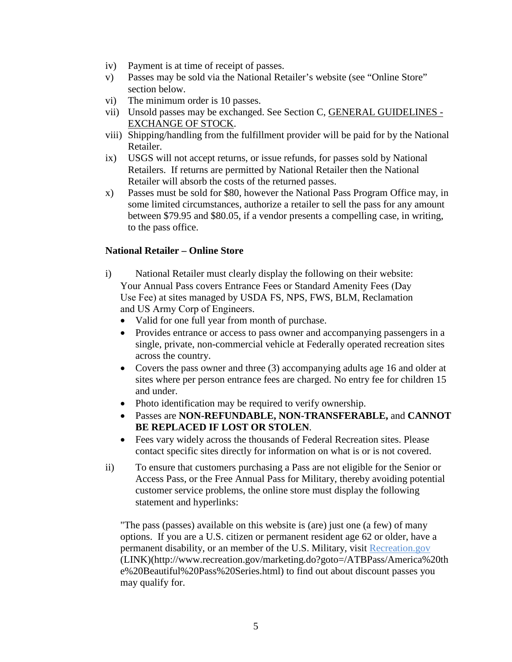- iv) Payment is at time of receipt of passes.
- v) Passes may be sold via the National Retailer's website (see "Online Store" section below.
- vi) The minimum order is 10 passes.
- vii) Unsold passes may be exchanged. See Section C, GENERAL GUIDELINES -EXCHANGE OF STOCK.
- viii) Shipping/handling from the fulfillment provider will be paid for by the National Retailer.
- ix) USGS will not accept returns, or issue refunds, for passes sold by National Retailers. If returns are permitted by National Retailer then the National Retailer will absorb the costs of the returned passes.
- x) Passes must be sold for \$80, however the National Pass Program Office may, in some limited circumstances, authorize a retailer to sell the pass for any amount between \$79.95 and \$80.05, if a vendor presents a compelling case, in writing, to the pass office.

#### **National Retailer – Online Store**

- i) National Retailer must clearly display the following on their website: Your Annual Pass covers Entrance Fees or Standard Amenity Fees (Day Use Fee) at sites managed by USDA FS, NPS, FWS, BLM, Reclamation and US Army Corp of Engineers.
	- Valid for one full year from month of purchase.
	- Provides entrance or access to pass owner and accompanying passengers in a single, private, non-commercial vehicle at Federally operated recreation sites across the country.
	- Covers the pass owner and three (3) accompanying adults age 16 and older at sites where per person entrance fees are charged. No entry fee for children 15 and under.
	- Photo identification may be required to verify ownership.
	- Passes are **NON-REFUNDABLE, NON-TRANSFERABLE,** and **CANNOT BE REPLACED IF LOST OR STOLEN**.
	- Fees vary widely across the thousands of Federal Recreation sites. Please contact specific sites directly for information on what is or is not covered.
- ii) To ensure that customers purchasing a Pass are not eligible for the Senior or Access Pass, or the Free Annual Pass for Military, thereby avoiding potential customer service problems, the online store must display the following statement and hyperlinks:

"The pass (passes) available on this website is (are) just one (a few) of many options. If you are a U.S. citizen or permanent resident age 62 or older, have a permanent disability, or an member of the U.S. Military, visit Recreation.gov (LINK)(http://www.recreation.gov/marketing.do?goto=/ATBPass/America%20th e%20Beautiful%20Pass%20Series.html) to find out about discount passes you may qualify for.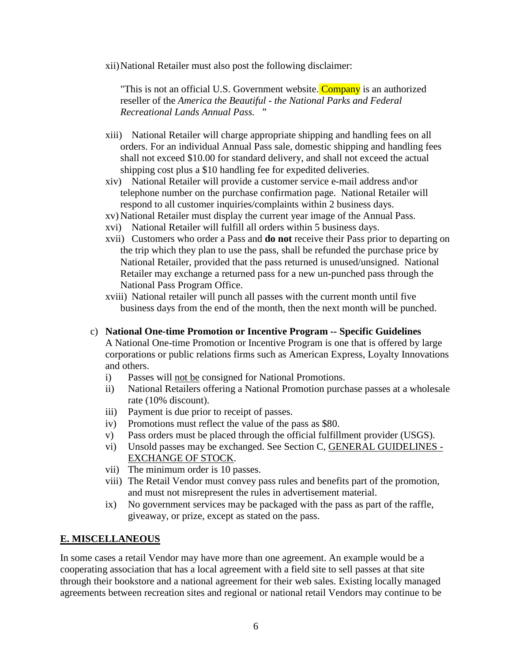xii)National Retailer must also post the following disclaimer:

"This is not an official U.S. Government website. Company is an authorized reseller of the *America the Beautiful - the National Parks and Federal Recreational Lands Annual Pass.* "

- xiii) National Retailer will charge appropriate shipping and handling fees on all orders. For an individual Annual Pass sale, domestic shipping and handling fees shall not exceed \$10.00 for standard delivery, and shall not exceed the actual shipping cost plus a \$10 handling fee for expedited deliveries.
- xiv) National Retailer will provide a customer service e-mail address and\or telephone number on the purchase confirmation page. National Retailer will respond to all customer inquiries/complaints within 2 business days.
- xv) National Retailer must display the current year image of the Annual Pass.
- xvi) National Retailer will fulfill all orders within 5 business days.
- xvii) Customers who order a Pass and **do not** receive their Pass prior to departing on the trip which they plan to use the pass, shall be refunded the purchase price by National Retailer, provided that the pass returned is unused/unsigned. National Retailer may exchange a returned pass for a new un-punched pass through the National Pass Program Office.
- xviii) National retailer will punch all passes with the current month until five business days from the end of the month, then the next month will be punched.
- c) **National One-time Promotion or Incentive Program -- Specific Guidelines** A National One-time Promotion or Incentive Program is one that is offered by large corporations or public relations firms such as American Express, Loyalty Innovations and others.
	- i) Passes will not be consigned for National Promotions.
	- ii) National Retailers offering a National Promotion purchase passes at a wholesale rate (10% discount).
	- iii) Payment is due prior to receipt of passes.
	- iv) Promotions must reflect the value of the pass as \$80.
	- v) Pass orders must be placed through the official fulfillment provider (USGS).
	- vi) Unsold passes may be exchanged. See Section C, GENERAL GUIDELINES EXCHANGE OF STOCK.
	- vii) The minimum order is 10 passes.
	- viii) The Retail Vendor must convey pass rules and benefits part of the promotion, and must not misrepresent the rules in advertisement material.
	- ix) No government services may be packaged with the pass as part of the raffle, giveaway, or prize, except as stated on the pass.

## **E. MISCELLANEOUS**

In some cases a retail Vendor may have more than one agreement. An example would be a cooperating association that has a local agreement with a field site to sell passes at that site through their bookstore and a national agreement for their web sales. Existing locally managed agreements between recreation sites and regional or national retail Vendors may continue to be